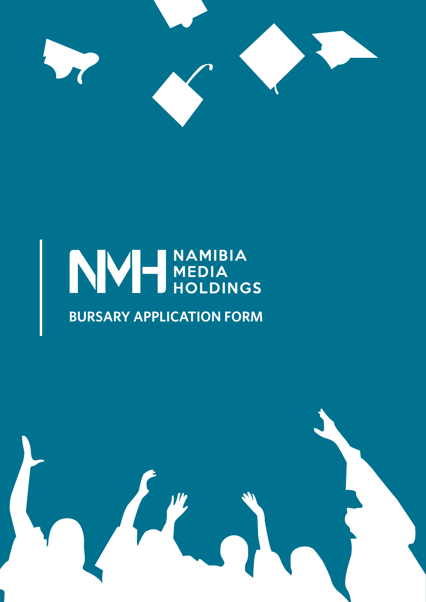

# NVH MEDIA

## **BURSARY APPLICATION FORM**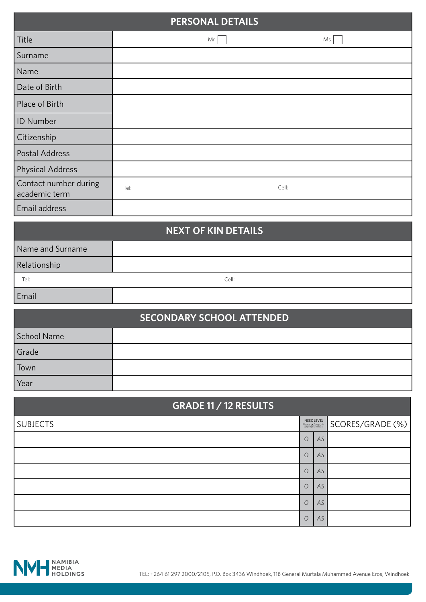| <b>PERSONAL DETAILS</b>                |      |       |  |  |  |
|----------------------------------------|------|-------|--|--|--|
| Title                                  | Mr   | Ms    |  |  |  |
| Surname                                |      |       |  |  |  |
| Name                                   |      |       |  |  |  |
| Date of Birth                          |      |       |  |  |  |
| Place of Birth                         |      |       |  |  |  |
| <b>ID Number</b>                       |      |       |  |  |  |
| Citizenship                            |      |       |  |  |  |
| <b>Postal Address</b>                  |      |       |  |  |  |
| <b>Physical Address</b>                |      |       |  |  |  |
| Contact number during<br>academic term | Tel: | Cell: |  |  |  |
| Email address                          |      |       |  |  |  |

### Name and Surname Relationship Email **NEXT OF KIN DETAILS** Tel: Cell:

| <b>SECONDARY SCHOOL ATTENDED</b> |  |  |  |  |
|----------------------------------|--|--|--|--|
| School Name                      |  |  |  |  |
| Grade                            |  |  |  |  |
| Town                             |  |  |  |  |
| Year                             |  |  |  |  |

| <b>GRADE 11 / 12 RESULTS</b> |                                                             |    |                  |  |  |
|------------------------------|-------------------------------------------------------------|----|------------------|--|--|
| <b>SUBJECTS</b>              | <b>NSSC LEVEL</b><br>Please X (cross) in<br>appropriate box |    | SCORES/GRADE (%) |  |  |
|                              | $\circ$                                                     | AS |                  |  |  |
|                              | $\overline{O}$                                              | AS |                  |  |  |
|                              | $\circ$                                                     | AS |                  |  |  |
|                              | $\circ$                                                     | AS |                  |  |  |
|                              | $\circ$                                                     | AS |                  |  |  |
|                              | $\circ$                                                     | AS |                  |  |  |